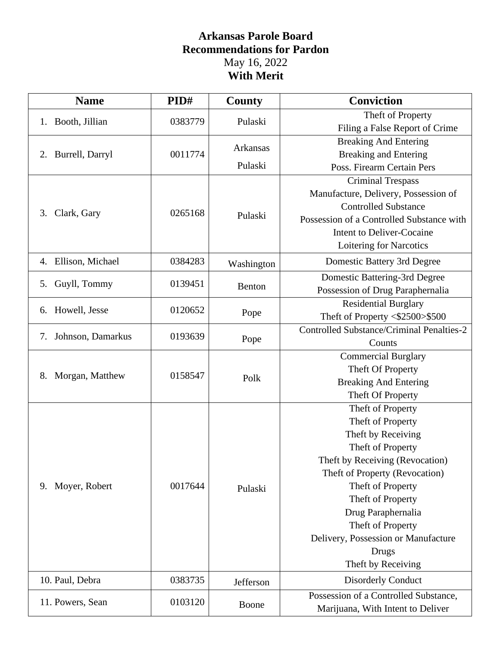## **Arkansas Parole Board Recommendations for Pardon** May 16, 2022 **With Merit**

| <b>Name</b>             | PID#    | <b>County</b>      | <b>Conviction</b>                                |
|-------------------------|---------|--------------------|--------------------------------------------------|
| 1. Booth, Jillian       |         | 0383779<br>Pulaski | Theft of Property                                |
|                         |         |                    | Filing a False Report of Crime                   |
|                         |         | Arkansas           | <b>Breaking And Entering</b>                     |
| Burrell, Darryl<br>2.   | 0011774 |                    | <b>Breaking and Entering</b>                     |
|                         |         | Pulaski            | Poss. Firearm Certain Pers                       |
|                         |         | Pulaski            | <b>Criminal Trespass</b>                         |
|                         | 0265168 |                    | Manufacture, Delivery, Possession of             |
| Clark, Gary<br>3.       |         |                    | <b>Controlled Substance</b>                      |
|                         |         |                    | Possession of a Controlled Substance with        |
|                         |         |                    | <b>Intent to Deliver-Cocaine</b>                 |
|                         |         |                    | Loitering for Narcotics                          |
| Ellison, Michael<br>4.  | 0384283 | Washington         | Domestic Battery 3rd Degree                      |
| Guyll, Tommy            | 0139451 |                    | Domestic Battering-3rd Degree                    |
| 5.                      |         | Benton             | Possession of Drug Paraphernalia                 |
| Howell, Jesse<br>6.     | 0120652 | Pope               | <b>Residential Burglary</b>                      |
|                         |         |                    | Theft of Property <\$2500>\$500                  |
| Johnson, Damarkus<br>7. | 0193639 | Pope               | <b>Controlled Substance/Criminal Penalties-2</b> |
|                         |         |                    | Counts                                           |
|                         | 0158547 | Polk               | <b>Commercial Burglary</b>                       |
| Morgan, Matthew<br>8.   |         |                    | Theft Of Property                                |
|                         |         |                    | <b>Breaking And Entering</b>                     |
|                         |         |                    | Theft Of Property                                |
|                         | 0017644 | Pulaski            | Theft of Property                                |
|                         |         |                    | Theft of Property                                |
|                         |         |                    | Theft by Receiving                               |
|                         |         |                    | Theft of Property                                |
| Moyer, Robert<br>9.     |         |                    | Theft by Receiving (Revocation)                  |
|                         |         |                    | Theft of Property (Revocation)                   |
|                         |         |                    | Theft of Property                                |
|                         |         |                    | Theft of Property                                |
|                         |         |                    | Drug Paraphernalia                               |
|                         |         |                    | Theft of Property                                |
|                         |         |                    | Delivery, Possession or Manufacture              |
|                         |         |                    | Drugs                                            |
|                         |         |                    | Theft by Receiving                               |
| 10. Paul, Debra         | 0383735 | Jefferson          | <b>Disorderly Conduct</b>                        |
|                         |         | Boone              | Possession of a Controlled Substance,            |
| 11. Powers, Sean        | 0103120 |                    | Marijuana, With Intent to Deliver                |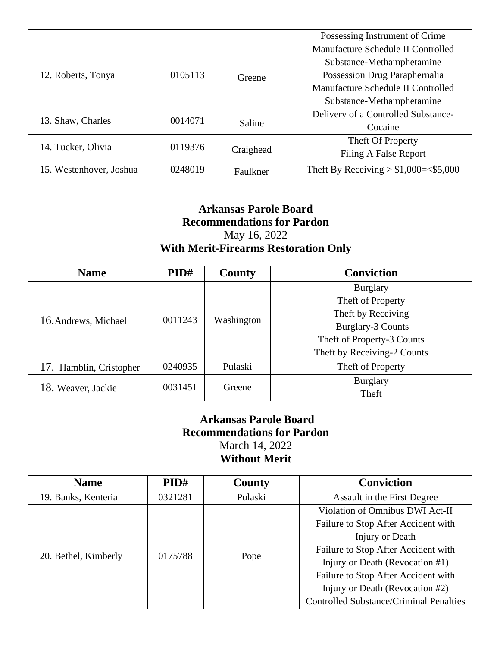|                         |         |           | Possessing Instrument of Crime           |
|-------------------------|---------|-----------|------------------------------------------|
| 12. Roberts, Tonya      | 0105113 | Greene    | Manufacture Schedule II Controlled       |
|                         |         |           | Substance-Methamphetamine                |
|                         |         |           | Possession Drug Paraphernalia            |
|                         |         |           | Manufacture Schedule II Controlled       |
|                         |         |           | Substance-Methamphetamine                |
|                         | 0014071 | Saline    | Delivery of a Controlled Substance-      |
| 13. Shaw, Charles       |         |           | Cocaine                                  |
| 14. Tucker, Olivia      | 0119376 | Craighead | Theft Of Property                        |
|                         |         |           | Filing A False Report                    |
| 15. Westenhover, Joshua | 0248019 | Faulkner  | Theft By Receiving $> $1,000 = < $5,000$ |

## **Arkansas Parole Board Recommendations for Pardon** May 16, 2022 **With Merit-Firearms Restoration Only**

| <b>Name</b>             | PID#    | County     | <b>Conviction</b>           |
|-------------------------|---------|------------|-----------------------------|
| 16. Andrews, Michael    | 0011243 | Washington | <b>Burglary</b>             |
|                         |         |            | Theft of Property           |
|                         |         |            | Theft by Receiving          |
|                         |         |            | <b>Burglary-3 Counts</b>    |
|                         |         |            | Theft of Property-3 Counts  |
|                         |         |            | Theft by Receiving-2 Counts |
| 17. Hamblin, Cristopher | 0240935 | Pulaski    | Theft of Property           |
| 18. Weaver, Jackie      | 0031451 | Greene     | <b>Burglary</b>             |
|                         |         |            | Theft                       |

## **Arkansas Parole Board Recommendations for Pardon** March 14, 2022 **Without Merit**

| <b>Name</b>          | PID#    | <b>County</b> | <b>Conviction</b>                              |
|----------------------|---------|---------------|------------------------------------------------|
| 19. Banks, Kenteria  | 0321281 | Pulaski       | Assault in the First Degree                    |
| 20. Bethel, Kimberly | 0175788 | Pope          | Violation of Omnibus DWI Act-II                |
|                      |         |               | Failure to Stop After Accident with            |
|                      |         |               | Injury or Death                                |
|                      |         |               | Failure to Stop After Accident with            |
|                      |         |               | Injury or Death (Revocation #1)                |
|                      |         |               | Failure to Stop After Accident with            |
|                      |         |               | Injury or Death (Revocation #2)                |
|                      |         |               | <b>Controlled Substance/Criminal Penalties</b> |